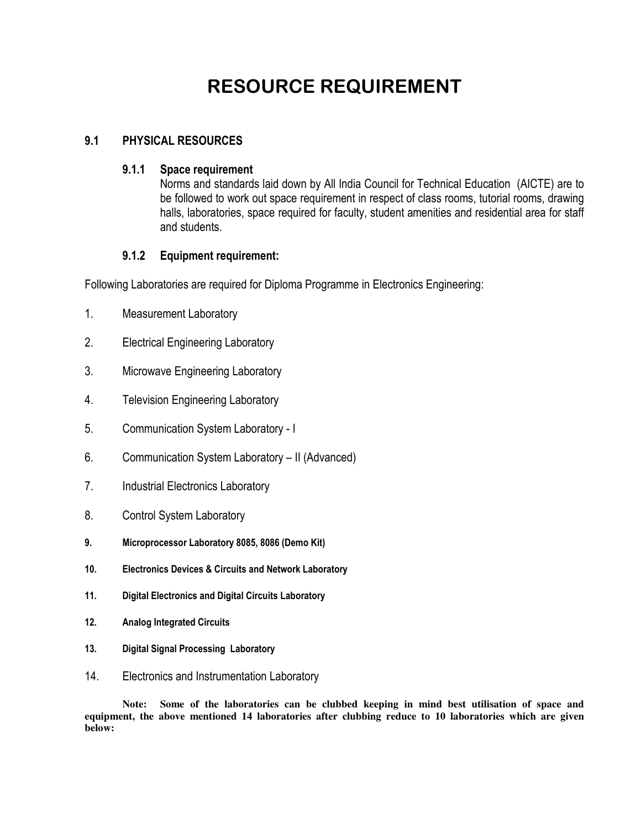# RESOURCE REQUIREMENT

### 9.1 PHYSICAL RESOURCES

#### 9.1.1 Space requirement

Norms and standards laid down by All India Council for Technical Education (AICTE) are to be followed to work out space requirement in respect of class rooms, tutorial rooms, drawing halls, laboratories, space required for faculty, student amenities and residential area for staff and students.

### 9.1.2 Equipment requirement:

Following Laboratories are required for Diploma Programme in Electronics Engineering:

- 1. Measurement Laboratory
- 2. Electrical Engineering Laboratory
- 3. Microwave Engineering Laboratory
- 4. Television Engineering Laboratory
- 5. Communication System Laboratory I
- 6. Communication System Laboratory II (Advanced)
- 7. Industrial Electronics Laboratory
- 8. Control System Laboratory
- 9. Microprocessor Laboratory 8085, 8086 (Demo Kit)
- 10. Electronics Devices & Circuits and Network Laboratory
- 11. Digital Electronics and Digital Circuits Laboratory
- 12. Analog Integrated Circuits
- 13. Digital Signal Processing Laboratory
- 14. Electronics and Instrumentation Laboratory

**Note: Some of the laboratories can be clubbed keeping in mind best utilisation of space and equipment, the above mentioned 14 laboratories after clubbing reduce to 10 laboratories which are given below:**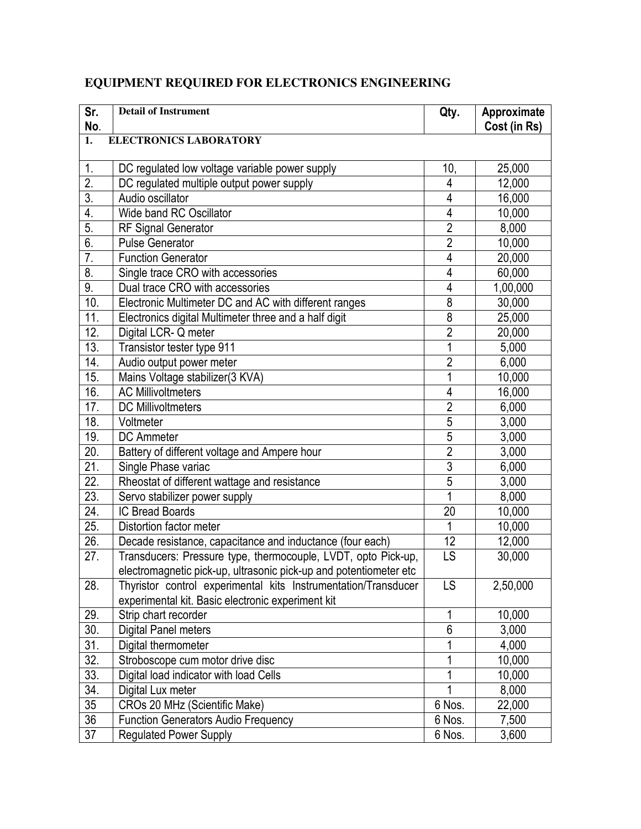## **EQUIPMENT REQUIRED FOR ELECTRONICS ENGINEERING**

| Sr.<br>No.        | <b>Detail of Instrument</b>                                       | Qty.           | Approximate<br>Cost (in Rs) |
|-------------------|-------------------------------------------------------------------|----------------|-----------------------------|
| $\overline{1}$ .  | <b>ELECTRONICS LABORATORY</b>                                     |                |                             |
|                   |                                                                   |                |                             |
| 1.                | DC regulated low voltage variable power supply                    | 10,            | 25,000                      |
| $\overline{2}$ .  | DC regulated multiple output power supply                         | 4              | 12,000                      |
| 3.                | Audio oscillator                                                  | 4              | 16,000                      |
| 4.                | Wide band RC Oscillator                                           | 4              | 10,000                      |
| 5.                | <b>RF Signal Generator</b>                                        | $\overline{2}$ | 8,000                       |
| 6.                | <b>Pulse Generator</b>                                            | $\overline{2}$ | 10,000                      |
| 7.                | <b>Function Generator</b>                                         | 4              | 20,000                      |
| 8.                | Single trace CRO with accessories                                 | 4              | 60,000                      |
| 9.                | Dual trace CRO with accessories                                   | 4              | 1,00,000                    |
| 10.               | Electronic Multimeter DC and AC with different ranges             | 8              | 30,000                      |
| 11.               | Electronics digital Multimeter three and a half digit             | 8              | 25,000                      |
| 12.               | Digital LCR-Q meter                                               | $\overline{2}$ | 20,000                      |
| 13.               | Transistor tester type 911                                        | 1              | 5,000                       |
| 14.               | Audio output power meter                                          | $\overline{2}$ | 6,000                       |
| 15.               | Mains Voltage stabilizer(3 KVA)                                   | 1              | 10,000                      |
| 16.               | <b>AC Millivoltmeters</b>                                         | 4              | 16,000                      |
| 17.               | <b>DC Millivoltmeters</b>                                         | $\overline{2}$ | 6,000                       |
| 18.               | Voltmeter                                                         | $\overline{5}$ | 3,000                       |
| 19.               | <b>DC</b> Ammeter                                                 | $\overline{5}$ | 3,000                       |
| 20.               | Battery of different voltage and Ampere hour                      | $\overline{2}$ | 3,000                       |
| 21.               | Single Phase variac                                               | 3              | 6,000                       |
| 22.               | Rheostat of different wattage and resistance                      | $\overline{5}$ | 3,000                       |
| 23.               | Servo stabilizer power supply                                     | 1              | 8,000                       |
| 24.               | <b>IC Bread Boards</b>                                            | 20             | 10,000                      |
| 25.               | Distortion factor meter                                           | 1              | 10,000                      |
| 26.               | Decade resistance, capacitance and inductance (four each)         | 12             | 12,000                      |
| 27.               | Transducers: Pressure type, thermocouple, LVDT, opto Pick-up,     | LS             | 30,000                      |
|                   | electromagnetic pick-up, ultrasonic pick-up and potentiometer etc |                |                             |
| 28.               | Thyristor control experimental kits Instrumentation/Transducer    | LS             | 2,50,000                    |
|                   | experimental kit. Basic electronic experiment kit                 |                |                             |
| 29.               | Strip chart recorder                                              | 1              | 10,000                      |
| $\overline{30}$ . | Digital Panel meters                                              | $\overline{6}$ | 3,000                       |
| $\overline{31}$ . | Digital thermometer                                               | 1              | 4,000                       |
| $\overline{32}$ . | Stroboscope cum motor drive disc                                  | 1              | 10,000                      |
| 33.               | Digital load indicator with load Cells                            | 1              | 10,000                      |
| 34.               | Digital Lux meter                                                 | 1              | 8,000                       |
| 35                | CROs 20 MHz (Scientific Make)                                     | 6 Nos.         | 22,000                      |
| $\overline{36}$   | <b>Function Generators Audio Frequency</b>                        | 6 Nos.         | 7,500                       |
| 37                | <b>Regulated Power Supply</b>                                     | 6 Nos.         | 3,600                       |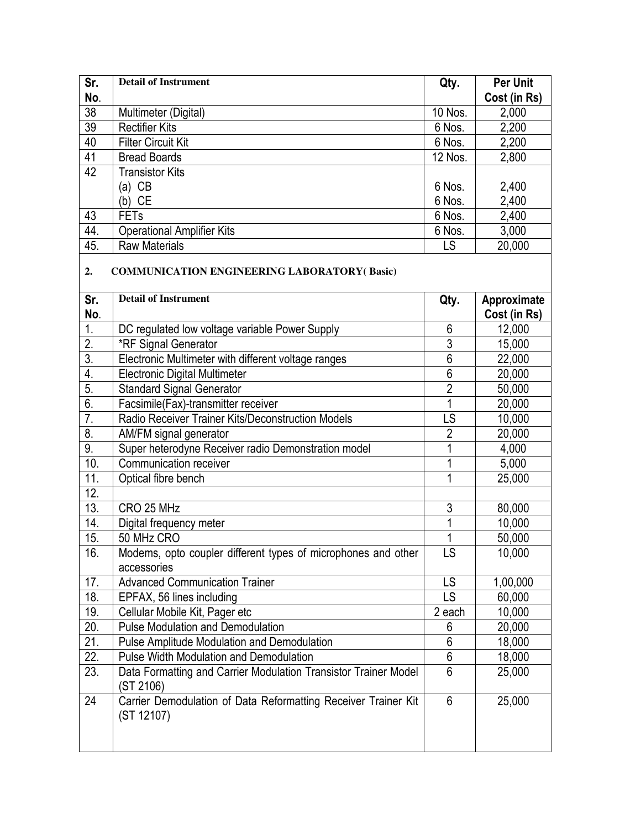| Sr.               | <b>Detail of Instrument</b>                                                  | Qty.           | <b>Per Unit</b>             |
|-------------------|------------------------------------------------------------------------------|----------------|-----------------------------|
| No.               |                                                                              |                | Cost (in Rs)                |
| $\overline{38}$   | Multimeter (Digital)                                                         | 10 Nos.        | 2,000                       |
| $\overline{39}$   | <b>Rectifier Kits</b>                                                        | 6 Nos.         | 2,200                       |
| 40                | <b>Filter Circuit Kit</b>                                                    | 6 Nos.         | 2,200                       |
| $\overline{41}$   | <b>Bread Boards</b>                                                          | 12 Nos.        | 2,800                       |
| 42                | <b>Transistor Kits</b>                                                       |                |                             |
|                   | $(a)$ CB                                                                     | 6 Nos.         | 2,400                       |
|                   | $(b)$ CE                                                                     | 6 Nos.         | 2,400                       |
| 43                | <b>FETs</b>                                                                  | 6 Nos.         | 2,400                       |
| 44.               | <b>Operational Amplifier Kits</b>                                            | 6 Nos.         | 3,000                       |
| 45.               | <b>Raw Materials</b>                                                         | LS             | 20,000                      |
| 2.                | <b>COMMUNICATION ENGINEERING LABORATORY(Basic)</b>                           |                |                             |
| Sr.<br>No.        | <b>Detail of Instrument</b>                                                  | Qty.           | Approximate<br>Cost (in Rs) |
| $\overline{1}$ .  | DC regulated low voltage variable Power Supply                               | 6              | 12,000                      |
| $\overline{2}$ .  | <b>*RF Signal Generator</b>                                                  | $\overline{3}$ | 15,000                      |
| $\overline{3}$ .  | Electronic Multimeter with different voltage ranges                          | $\overline{6}$ | 22,000                      |
| 4.                | <b>Electronic Digital Multimeter</b>                                         | $\overline{6}$ | 20,000                      |
| 5.                | <b>Standard Signal Generator</b>                                             | $\overline{2}$ | 50,000                      |
| 6.                | Facsimile(Fax)-transmitter receiver                                          | 1              | 20,000                      |
| $\overline{7}$ .  | Radio Receiver Trainer Kits/Deconstruction Models                            | LS             | 10,000                      |
| 8.                | AM/FM signal generator                                                       | $\overline{2}$ | 20,000                      |
| 9.                | Super heterodyne Receiver radio Demonstration model                          | 1              | 4,000                       |
| 10.               | Communication receiver                                                       | 1              | 5,000                       |
| 11.               | Optical fibre bench                                                          | 1              | 25,000                      |
| 12.               |                                                                              |                |                             |
| 13.               | CRO 25 MHz                                                                   | 3              | 80,000                      |
| 14.               | Digital frequency meter                                                      | 1              | 10,000                      |
| 15.               | 50 MHz CRO                                                                   | 1              | 50,000                      |
| 16.               | Modems, opto coupler different types of microphones and other<br>accessories | LS             | 10,000                      |
| 17.               | <b>Advanced Communication Trainer</b>                                        | LS             | 1,00,000                    |
| 18.               | EPFAX, 56 lines including                                                    | LS             | 60,000                      |
| 19.               | Cellular Mobile Kit, Pager etc                                               | 2 each         | 10,000                      |
| 20.               | <b>Pulse Modulation and Demodulation</b>                                     | 6              | 20,000                      |
| 21.               | <b>Pulse Amplitude Modulation and Demodulation</b>                           | 6              | 18,000                      |
| $\overline{22}$ . | <b>Pulse Width Modulation and Demodulation</b>                               | 6              | 18,000                      |
| 23.               | Data Formatting and Carrier Modulation Transistor Trainer Model<br>(ST 2106) | 6              | 25,000                      |
| 24                | Carrier Demodulation of Data Reformatting Receiver Trainer Kit<br>(ST 12107) | 6              | 25,000                      |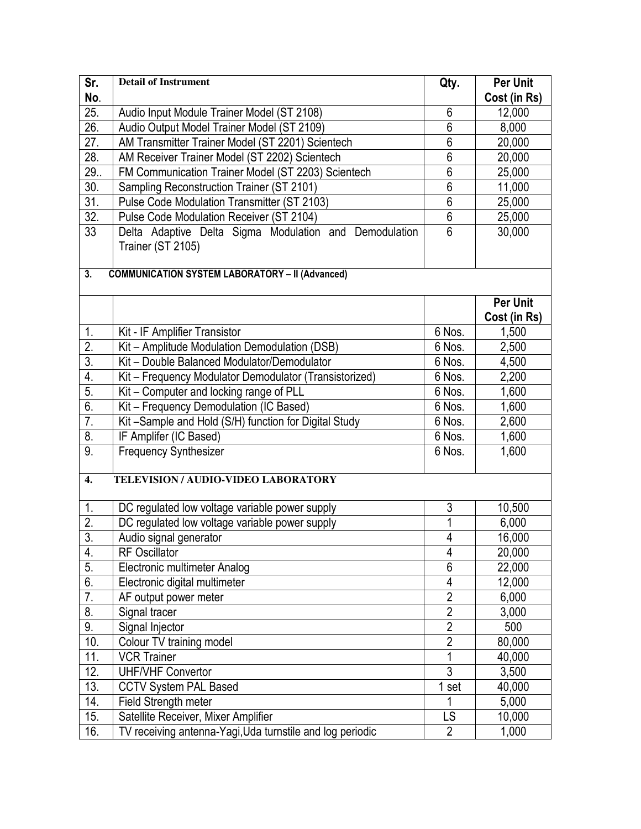| Sr.               | <b>Detail of Instrument</b>                                                 | Qty.            | Per Unit                        |  |  |
|-------------------|-----------------------------------------------------------------------------|-----------------|---------------------------------|--|--|
| No.               |                                                                             |                 | Cost (in Rs)                    |  |  |
| 25.               | Audio Input Module Trainer Model (ST 2108)                                  | 6               | 12,000                          |  |  |
| 26.               | Audio Output Model Trainer Model (ST 2109)                                  | $\overline{6}$  | 8,000                           |  |  |
| 27.               | AM Transmitter Trainer Model (ST 2201) Scientech                            | $6\phantom{.}6$ | 20,000                          |  |  |
| 28.               | AM Receiver Trainer Model (ST 2202) Scientech                               | $\overline{6}$  | 20,000                          |  |  |
| 29.               | FM Communication Trainer Model (ST 2203) Scientech                          | $\overline{6}$  | 25,000                          |  |  |
| 30.               | Sampling Reconstruction Trainer (ST 2101)                                   | $6\,$           | 11,000                          |  |  |
| 31.               | Pulse Code Modulation Transmitter (ST 2103)                                 | $\overline{6}$  | 25,000                          |  |  |
| $\overline{32}$ . | Pulse Code Modulation Receiver (ST 2104)                                    | $6\phantom{.}6$ | 25,000                          |  |  |
| 33                | Delta Adaptive Delta Sigma Modulation and Demodulation<br>Trainer (ST 2105) | 6               | 30,000                          |  |  |
| 3.                | <b>COMMUNICATION SYSTEM LABORATORY - II (Advanced)</b>                      |                 |                                 |  |  |
|                   |                                                                             |                 | <b>Per Unit</b><br>Cost (in Rs) |  |  |
| 1.                | Kit - IF Amplifier Transistor                                               | 6 Nos.          | 1,500                           |  |  |
| $\overline{2}$ .  | Kit - Amplitude Modulation Demodulation (DSB)                               | 6 Nos.          | 2,500                           |  |  |
| $\overline{3}$ .  | Kit - Double Balanced Modulator/Demodulator                                 | 6 Nos.          | 4,500                           |  |  |
| 4.                | Kit - Frequency Modulator Demodulator (Transistorized)                      | 6 Nos.          | 2,200                           |  |  |
| $\overline{5}$ .  | Kit - Computer and locking range of PLL                                     | 6 Nos.          | 1,600                           |  |  |
| 6.                | Kit - Frequency Demodulation (IC Based)                                     | 6 Nos.          | 1,600                           |  |  |
| 7.                | Kit-Sample and Hold (S/H) function for Digital Study                        | 6 Nos.          | 2,600                           |  |  |
| $\overline{8}$ .  | IF Amplifer (IC Based)                                                      | 6 Nos.          | 1,600                           |  |  |
| $\overline{9}$ .  | <b>Frequency Synthesizer</b>                                                | 6 Nos.          | 1,600                           |  |  |
| $\overline{4}$ .  | TELEVISION / AUDIO-VIDEO LABORATORY                                         |                 |                                 |  |  |
| $\mathbf{1}$ .    | DC regulated low voltage variable power supply                              | $\overline{3}$  | 10,500                          |  |  |
| $\overline{2}$ .  | DC regulated low voltage variable power supply                              | $\overline{1}$  | 6,000                           |  |  |
| $\overline{3}$ .  | Audio signal generator                                                      | $\overline{4}$  | 16,000                          |  |  |
| 4.                | <b>RF Oscillator</b>                                                        | 4               | 20,000                          |  |  |
| $\overline{5}$ .  | Electronic multimeter Analog                                                | $6\,$           | 22,000                          |  |  |
| 6.                | Electronic digital multimeter                                               | 4               | 12,000                          |  |  |
| $\overline{7}$ .  | AF output power meter                                                       | $\overline{2}$  | 6,000                           |  |  |
| 8.                | Signal tracer                                                               | $\overline{2}$  | 3,000                           |  |  |
| 9.                | Signal Injector                                                             | $\overline{2}$  | 500                             |  |  |
| 10.               | Colour TV training model                                                    | $\overline{2}$  | 80,000                          |  |  |
| 11.               | <b>VCR Trainer</b>                                                          | 1               | 40,000                          |  |  |
| 12.               | <b>UHF/VHF Convertor</b>                                                    | $\overline{3}$  | 3,500                           |  |  |
| 13.               | <b>CCTV System PAL Based</b>                                                | 1 set           | 40,000                          |  |  |
| 14.               | Field Strength meter                                                        | 1               | 5,000                           |  |  |
| 15.               | Satellite Receiver, Mixer Amplifier                                         | LS              | 10,000                          |  |  |
| 16.               | TV receiving antenna-Yagi, Uda turnstile and log periodic                   | $\overline{2}$  | 1,000                           |  |  |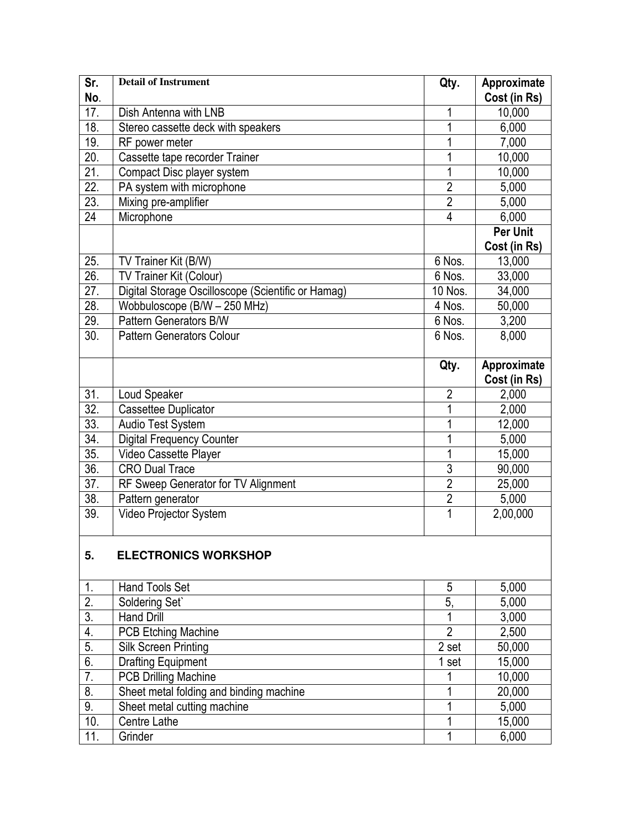| <b>Detail of Instrument</b><br>Sr.<br>Qty.                                         | Approximate     |
|------------------------------------------------------------------------------------|-----------------|
| No.                                                                                | Cost (in Rs)    |
| 17.<br>Dish Antenna with LNB<br>1                                                  | 10,000          |
| 18.<br>1<br>Stereo cassette deck with speakers                                     | 6,000           |
| 19.<br>RF power meter<br>1                                                         | 7,000           |
| $\overline{20}$ .<br>1<br>Cassette tape recorder Trainer                           | 10,000          |
| 21.<br>Compact Disc player system<br>1                                             | 10,000          |
| $\overline{22}$ .<br>PA system with microphone<br>$\overline{2}$                   | 5,000           |
| $\overline{23}$ .<br>$\overline{2}$<br>Mixing pre-amplifier                        | 5,000           |
| 24<br>$\overline{4}$<br>Microphone                                                 | 6,000           |
|                                                                                    | <b>Per Unit</b> |
|                                                                                    | Cost (in Rs)    |
| 6 Nos.<br>25.<br>TV Trainer Kit (B/W)                                              | 13,000          |
| 26.<br>TV Trainer Kit (Colour)<br>$6$ Nos.                                         | 33,000          |
| $\overline{27}$ .<br>Digital Storage Oscilloscope (Scientific or Hamag)<br>10 Nos. | 34,000          |
| $\overline{28}$ .<br>Wobbuloscope (B/W - 250 MHz)<br>4 Nos.                        | 50,000          |
| $\overline{29}$ .<br>Pattern Generators B/W<br>6 Nos.                              | 3,200           |
| 30.<br>6 Nos.<br><b>Pattern Generators Colour</b>                                  | 8,000           |
|                                                                                    |                 |
| Qty.                                                                               | Approximate     |
|                                                                                    | Cost (in Rs)    |
| 31.<br>Loud Speaker<br>$\overline{2}$                                              | 2,000           |
| $\overline{32}$ .<br>Cassettee Duplicator<br>1                                     | 2,000           |
| 33.<br>Audio Test System<br>1                                                      | 12,000          |
| $\overline{34}$ .<br><b>Digital Frequency Counter</b><br>1                         | 5,000           |
| $\overline{35}$ .<br>1<br>Video Cassette Player                                    | 15,000          |
| $\overline{36}$ .<br>$\overline{3}$<br><b>CRO Dual Trace</b>                       | 90,000          |
| $\overline{37}$ .<br>$\overline{2}$<br>RF Sweep Generator for TV Alignment         | 25,000          |
| $\overline{2}$<br>38.<br>Pattern generator                                         | 5,000           |
| 39.<br>1<br>Video Projector System                                                 | 2,00,000        |
|                                                                                    |                 |
| <b>ELECTRONICS WORKSHOP</b><br>5.                                                  |                 |
|                                                                                    |                 |
| 1.<br><b>Hand Tools Set</b><br>$\sqrt{5}$                                          | 5,000           |
| $\overline{2}$ .<br>Soldering Set<br>5,                                            | 5,000           |
| $\overline{3}$ .<br>$\overline{1}$<br><b>Hand Drill</b>                            | 3,000           |
| $\overline{2}$<br><b>PCB Etching Machine</b><br>4.                                 | 2,500           |
| 5.<br>2 set<br><b>Silk Screen Printing</b>                                         | 50,000          |
| 6.<br><b>Drafting Equipment</b><br>1 set                                           | 15,000          |
| $\overline{7}$ .<br><b>PCB Drilling Machine</b><br>1                               | 10,000          |
| 8.<br>Sheet metal folding and binding machine<br>1                                 | 20,000          |
| $\overline{9}$ .<br>Sheet metal cutting machine<br>1                               | 5,000           |
| 10.<br>Centre Lathe<br>1                                                           | 15,000          |
| 11.<br>1<br>Grinder                                                                | 6,000           |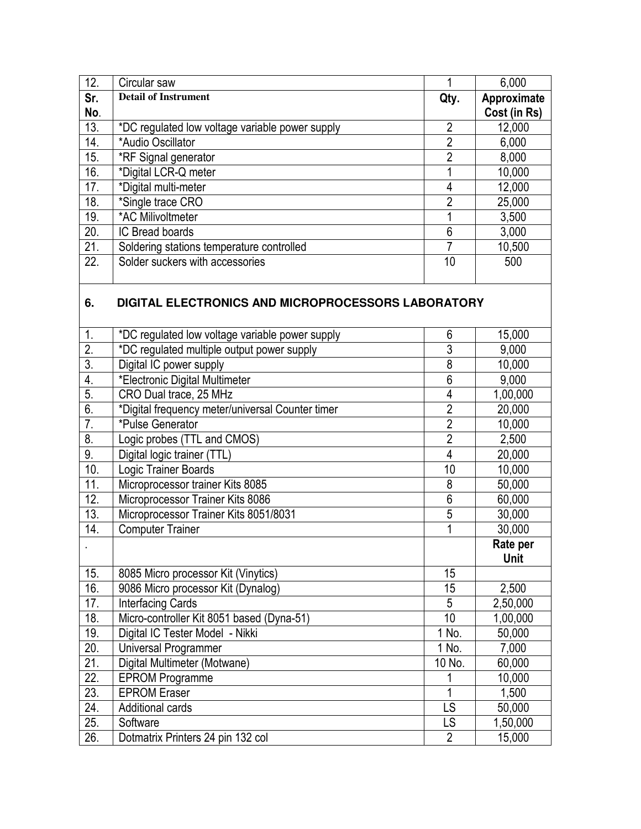| 12. | Circular saw                                    |                | 6,000        |
|-----|-------------------------------------------------|----------------|--------------|
| Sr. | <b>Detail of Instrument</b>                     | Qty.           | Approximate  |
| No. |                                                 |                | Cost (in Rs) |
| 13. | *DC regulated low voltage variable power supply | $\overline{2}$ | 12,000       |
| 14. | *Audio Oscillator                               | $\overline{2}$ | 6,000        |
| 15. | *RF Signal generator                            | $\overline{2}$ | 8,000        |
| 16. | *Digital LCR-Q meter                            |                | 10,000       |
| 17. | *Digital multi-meter                            | 4              | 12,000       |
| 18. | *Single trace CRO                               | $\overline{2}$ | 25,000       |
| 19. | *AC Milivoltmeter                               |                | 3,500        |
| 20. | IC Bread boards                                 | 6              | 3,000        |
| 21. | Soldering stations temperature controlled       | 7              | 10,500       |
| 22. | Solder suckers with accessories                 | 10             | 500          |

### **6. DIGITAL ELECTRONICS AND MICROPROCESSORS LABORATORY**

| 1.                | *DC regulated low voltage variable power supply  | 6              | 15,000   |
|-------------------|--------------------------------------------------|----------------|----------|
| $\overline{2}$ .  | *DC regulated multiple output power supply       | $\overline{3}$ | 9,000    |
| $\overline{3}$ .  | Digital IC power supply                          | $\overline{8}$ | 10,000   |
| $\overline{4}$ .  | *Electronic Digital Multimeter                   | 6              | 9,000    |
| 5.                | CRO Dual trace, 25 MHz                           | $\overline{4}$ | 1,00,000 |
| 6.                | *Digital frequency meter/universal Counter timer | $\overline{2}$ | 20,000   |
| $\overline{7}$ .  | *Pulse Generator                                 | $\overline{2}$ | 10,000   |
| 8.                | Logic probes (TTL and CMOS)                      | $\overline{2}$ | 2,500    |
| 9.                | Digital logic trainer (TTL)                      | 4              | 20,000   |
| 10.               | Logic Trainer Boards                             | 10             | 10,000   |
| 11.               | Microprocessor trainer Kits 8085                 | 8              | 50,000   |
| 12.               | Microprocessor Trainer Kits 8086                 | $\overline{6}$ | 60,000   |
| $\overline{13}$ . | Microprocessor Trainer Kits 8051/8031            | 5              | 30,000   |
| 14.               | <b>Computer Trainer</b>                          | 1              | 30,000   |
|                   |                                                  |                |          |
|                   |                                                  |                | Rate per |
|                   |                                                  |                | Unit     |
| 15.               | 8085 Micro processor Kit (Vinytics)              | 15             |          |
| 16.               | 9086 Micro processor Kit (Dynalog)               | 15             | 2,500    |
| 17.               | <b>Interfacing Cards</b>                         | 5              | 2,50,000 |
| 18.               | Micro-controller Kit 8051 based (Dyna-51)        | 10             | 1,00,000 |
| 19.               | Digital IC Tester Model - Nikki                  | 1 No.          | 50,000   |
| 20.               | Universal Programmer                             | 1 No.          | 7,000    |
| 21.               | Digital Multimeter (Motwane)                     | 10 No.         | 60,000   |
| $\overline{22}$ . | <b>EPROM Programme</b>                           |                | 10,000   |
| 23.               | <b>EPROM Eraser</b>                              |                | 1,500    |
| 24.               | <b>Additional cards</b>                          | LS             | 50,000   |
| 25.               | Software                                         | LS             | 1,50,000 |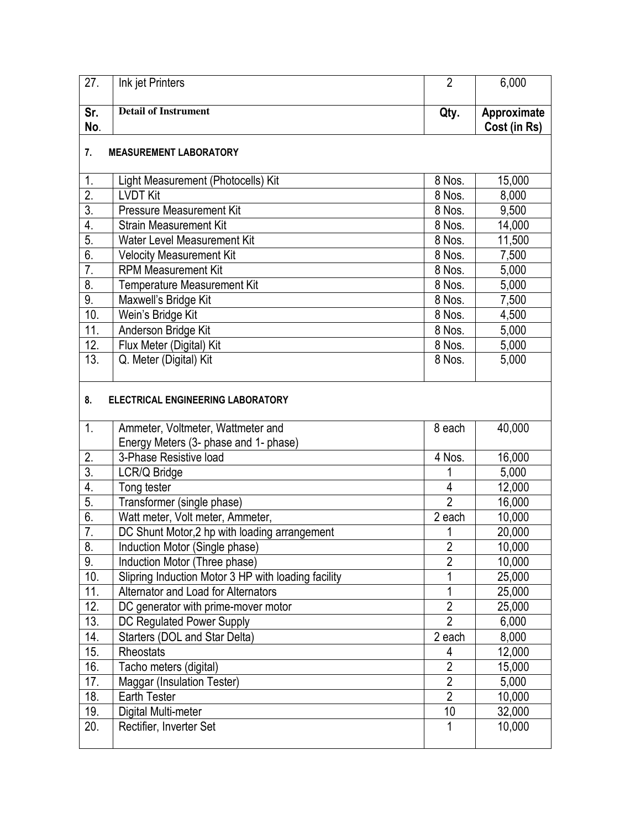| $\overline{27}$ .         | Ink jet Printers                                    | $\overline{2}$      | 6,000        |  |  |
|---------------------------|-----------------------------------------------------|---------------------|--------------|--|--|
| Sr.                       | Detail of Instrument                                | Qty.                | Approximate  |  |  |
| No.                       |                                                     |                     | Cost (in Rs) |  |  |
|                           |                                                     |                     |              |  |  |
| 7.                        | <b>MEASUREMENT LABORATORY</b>                       |                     |              |  |  |
| 1.                        | Light Measurement (Photocells) Kit                  | 8 Nos.              | 15,000       |  |  |
| $\overline{2}$ .          | <b>LVDT Kit</b>                                     | 8 Nos.              | 8,000        |  |  |
| $\overline{3}$ .          | <b>Pressure Measurement Kit</b>                     | 8 Nos.              | 9,500        |  |  |
| $\overline{4}$ .          | <b>Strain Measurement Kit</b>                       | $\overline{8}$ Nos. | 14,000       |  |  |
| $\overline{5}$ .          | Water Level Measurement Kit                         | 8 Nos.              | 11,500       |  |  |
| 6.                        | <b>Velocity Measurement Kit</b>                     | 8 Nos.              | 7,500        |  |  |
| $\overline{7}$ .          | <b>RPM Measurement Kit</b>                          | 8 Nos.              | 5,000        |  |  |
| $\overline{\mathbf{8}}$   | Temperature Measurement Kit                         | 8 Nos.              | 5,000        |  |  |
| 9.                        | Maxwell's Bridge Kit                                | 8 Nos.              | 7,500        |  |  |
| 10.                       | Wein's Bridge Kit                                   | 8 Nos.              | 4,500        |  |  |
| 11.                       | Anderson Bridge Kit                                 | 8 Nos.              | 5,000        |  |  |
| 12.                       | Flux Meter (Digital) Kit                            | 8 Nos.              | 5,000        |  |  |
| 13.                       | Q. Meter (Digital) Kit                              | 8 Nos.              | 5,000        |  |  |
| 8.                        | ELECTRICAL ENGINEERING LABORATORY                   |                     |              |  |  |
| 1.                        | Ammeter, Voltmeter, Wattmeter and                   | 8 each              | 40,000       |  |  |
|                           | Energy Meters (3- phase and 1- phase)               |                     |              |  |  |
| 2.                        | 3-Phase Resistive load                              | 4 Nos.              | 16,000       |  |  |
| $\overline{3}$ .          | LCR/Q Bridge                                        | 1                   | 5,000        |  |  |
| 4.                        | Tong tester                                         | 4                   | 12,000       |  |  |
| 5.                        | Transformer (single phase)                          | $\overline{2}$      | 16,000       |  |  |
| $\overline{6}$ .          | Watt meter, Volt meter, Ammeter,                    | 2 each              | 10,000       |  |  |
| $\overline{7}$ .          | DC Shunt Motor, 2 hp with loading arrangement       | 1                   | 20,000       |  |  |
| $\overline{\mathbf{8}}$ . | Induction Motor (Single phase)                      | $\overline{ }$<br>۷ | 10,000       |  |  |
| 9.                        | Induction Motor (Three phase)                       | $\overline{2}$      | 10,000       |  |  |
| 10.                       | Slipring Induction Motor 3 HP with loading facility | 1                   | 25,000       |  |  |
| 11.                       | Alternator and Load for Alternators                 | 1                   | 25,000       |  |  |
| 12.                       | DC generator with prime-mover motor                 | $\overline{2}$      | 25,000       |  |  |
| 13.                       | DC Regulated Power Supply                           | $\overline{2}$      | 6,000        |  |  |
| 14.                       | Starters (DOL and Star Delta)                       | 2 each              | 8,000        |  |  |
| 15.                       | Rheostats                                           | 4                   | 12,000       |  |  |
| 16.                       | Tacho meters (digital)                              | $\overline{2}$      | 15,000       |  |  |
| 17.                       | Maggar (Insulation Tester)                          | $\overline{2}$      | 5,000        |  |  |
| 18.                       | <b>Earth Tester</b>                                 | $\overline{2}$      | 10,000       |  |  |
| 19.                       | Digital Multi-meter                                 | 10                  | 32,000       |  |  |
| 20.                       | Rectifier, Inverter Set                             | 1                   | 10,000       |  |  |
|                           |                                                     |                     |              |  |  |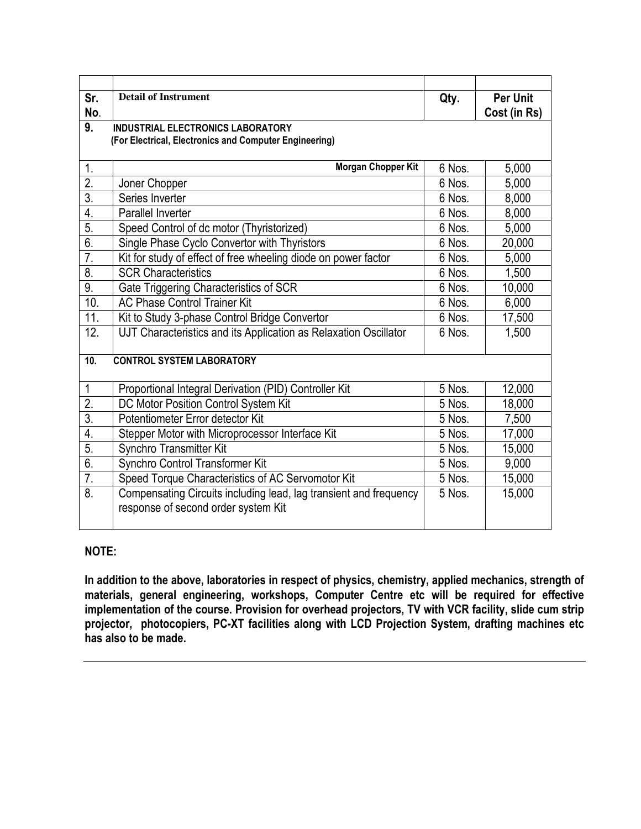| Sr.                    | <b>Detail of Instrument</b>                                       | Qty.   | <b>Per Unit</b> |
|------------------------|-------------------------------------------------------------------|--------|-----------------|
| No.                    |                                                                   |        | Cost (in Rs)    |
| 9.                     | <b>INDUSTRIAL ELECTRONICS LABORATORY</b>                          |        |                 |
|                        | (For Electrical, Electronics and Computer Engineering)            |        |                 |
|                        |                                                                   |        |                 |
| 1.<br>$\overline{2}$ . | Morgan Chopper Kit                                                | 6 Nos. | 5,000           |
|                        | Joner Chopper                                                     | 6 Nos. | 5,000           |
| $\overline{3}$ .       | Series Inverter                                                   | 6 Nos. | 8,000           |
| 4.                     | Parallel Inverter                                                 | 6 Nos. | 8,000           |
| 5.                     | Speed Control of dc motor (Thyristorized)                         | 6 Nos. | 5,000           |
| 6.                     | Single Phase Cyclo Convertor with Thyristors                      | 6 Nos. | 20,000          |
| $\overline{7}$ .       | Kit for study of effect of free wheeling diode on power factor    | 6 Nos. | 5,000           |
| 8.                     | <b>SCR Characteristics</b>                                        | 6 Nos. | 1,500           |
| 9.                     | Gate Triggering Characteristics of SCR                            | 6 Nos. | 10,000          |
| 10.                    | <b>AC Phase Control Trainer Kit</b>                               | 6 Nos. | 6,000           |
| 11.                    | Kit to Study 3-phase Control Bridge Convertor                     | 6 Nos. | 17,500          |
| 12.                    | UJT Characteristics and its Application as Relaxation Oscillator  | 6 Nos. | 1,500           |
|                        |                                                                   |        |                 |
| 10.                    | <b>CONTROL SYSTEM LABORATORY</b>                                  |        |                 |
|                        |                                                                   |        |                 |
| $\mathbf{1}$           | Proportional Integral Derivation (PID) Controller Kit             | 5 Nos. | 12,000          |
| $\overline{2}$ .       | DC Motor Position Control System Kit                              | 5 Nos. | 18,000          |
| $\overline{3}$ .       | Potentiometer Error detector Kit                                  | 5 Nos. | 7,500           |
| $\overline{4}$ .       | Stepper Motor with Microprocessor Interface Kit                   | 5 Nos. | 17,000          |
| 5.                     | Synchro Transmitter Kit                                           | 5 Nos. | 15,000          |
| 6.                     | Synchro Control Transformer Kit                                   | 5 Nos. | 9,000           |
| 7.                     | Speed Torque Characteristics of AC Servomotor Kit                 | 5 Nos. | 15,000          |
| 8.                     | Compensating Circuits including lead, lag transient and frequency | 5 Nos. | 15,000          |
|                        | response of second order system Kit                               |        |                 |
|                        |                                                                   |        |                 |

### NOTE:

In addition to the above, laboratories in respect of physics, chemistry, applied mechanics, strength of materials, general engineering, workshops, Computer Centre etc will be required for effective implementation of the course. Provision for overhead projectors, TV with VCR facility, slide cum strip projector, photocopiers, PC-XT facilities along with LCD Projection System, drafting machines etc has also to be made.